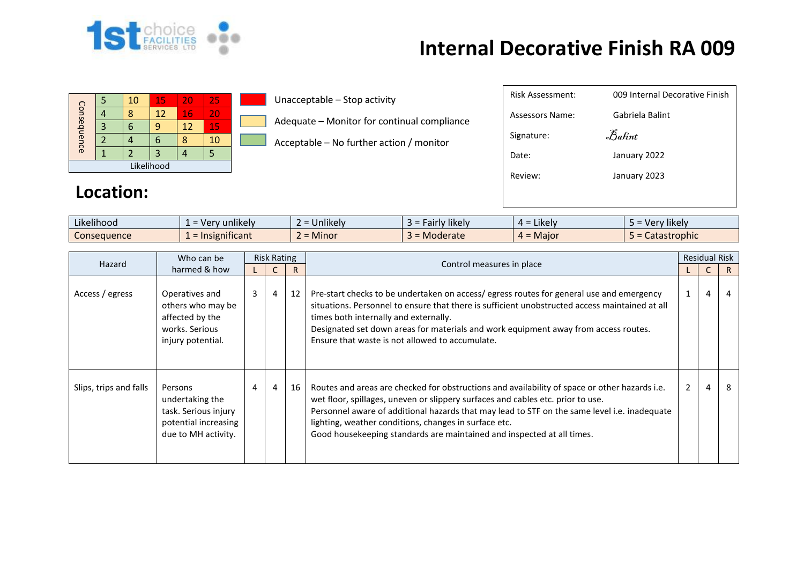

## **Internal Decorative Finish RA 009**

| Consequence |  | 10 | 15 | 20 | 25 |  |  |  |
|-------------|--|----|----|----|----|--|--|--|
|             |  |    | 12 | 16 | 20 |  |  |  |
|             |  |    |    | 12 | 15 |  |  |  |
|             |  |    |    |    | 10 |  |  |  |
|             |  |    |    |    |    |  |  |  |
| Likelihood  |  |    |    |    |    |  |  |  |

**Location:** 

## Unacceptable – Stop activity

Adequate – Monitor for continual compliance

Acceptable – No further action / monitor

| Risk Assessment: | 009 Internal Decorative Finish  |
|------------------|---------------------------------|
| Assessors Name:  | Gabriela Balint                 |
| Signature:       | $\mathcal{F}_{\mathit{a}}$ fint |
| Date:            | January 2022                    |
| Review:          | January 2023                    |
|                  |                                 |

| Likelihood  | unlikely<br>ven | <b>Jnlikely</b><br>$\overline{\phantom{0}}$ | aairiy likely. | $\cdot$ .<br>Likely<br>ᅟ <del>ᄼ</del> | $\cdots$<br>rv likely<br>- Ver |
|-------------|-----------------|---------------------------------------------|----------------|---------------------------------------|--------------------------------|
| Consequence | Insignificant   | <b>Minor</b><br>-                           | Moderate       | = Major                               | Catastrophic                   |

| Who can be<br>Hazard   |                                                                                                   | <b>Risk Rating</b> |   |    |                                                                                                                                                                                                                                                                                                                                                                                                                     | <b>Residual Risk</b> |                |    |
|------------------------|---------------------------------------------------------------------------------------------------|--------------------|---|----|---------------------------------------------------------------------------------------------------------------------------------------------------------------------------------------------------------------------------------------------------------------------------------------------------------------------------------------------------------------------------------------------------------------------|----------------------|----------------|----|
|                        | harmed & how                                                                                      |                    |   | R. | Control measures in place                                                                                                                                                                                                                                                                                                                                                                                           |                      |                | R. |
| Access / egress        | Operatives and<br>others who may be<br>affected by the<br>works. Serious<br>injury potential.     | 3                  | 4 | 12 | Pre-start checks to be undertaken on access/egress routes for general use and emergency<br>situations. Personnel to ensure that there is sufficient unobstructed access maintained at all<br>times both internally and externally.<br>Designated set down areas for materials and work equipment away from access routes.<br>Ensure that waste is not allowed to accumulate.                                        |                      | $\overline{4}$ | 4  |
| Slips, trips and falls | Persons<br>undertaking the<br>task. Serious injury<br>potential increasing<br>due to MH activity. | 4                  | 4 | 16 | Routes and areas are checked for obstructions and availability of space or other hazards i.e.<br>wet floor, spillages, uneven or slippery surfaces and cables etc. prior to use.<br>Personnel aware of additional hazards that may lead to STF on the same level i.e. inadequate<br>lighting, weather conditions, changes in surface etc.<br>Good housekeeping standards are maintained and inspected at all times. | $2^{\circ}$          | $\overline{4}$ | 8  |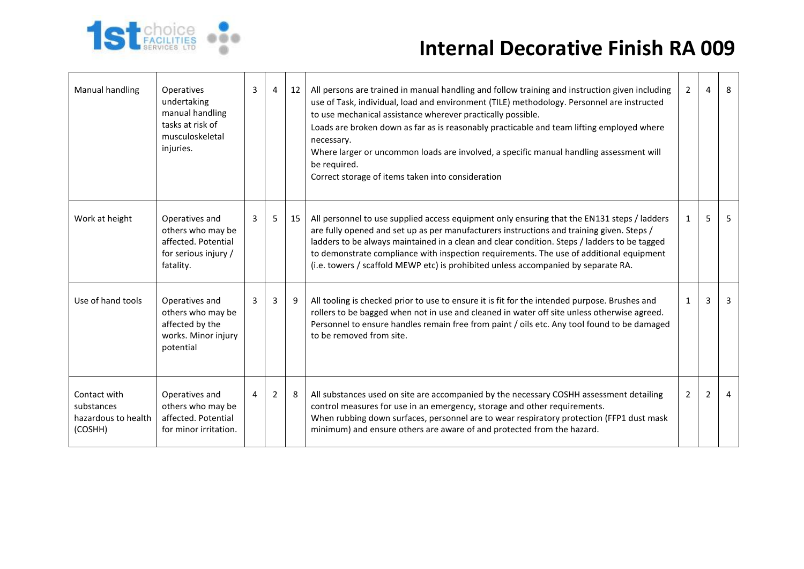

## **Internal Decorative Finish RA 009**

| Manual handling                                              | <b>Operatives</b><br>undertaking<br>manual handling<br>tasks at risk of<br>musculoskeletal<br>injuries. | 3 | $\overline{4}$ | 12 | All persons are trained in manual handling and follow training and instruction given including<br>use of Task, individual, load and environment (TILE) methodology. Personnel are instructed<br>to use mechanical assistance wherever practically possible.<br>Loads are broken down as far as is reasonably practicable and team lifting employed where<br>necessary.<br>Where larger or uncommon loads are involved, a specific manual handling assessment will<br>be required.<br>Correct storage of items taken into consideration | $2^{\circ}$  | $\overline{a}$ | 8              |
|--------------------------------------------------------------|---------------------------------------------------------------------------------------------------------|---|----------------|----|----------------------------------------------------------------------------------------------------------------------------------------------------------------------------------------------------------------------------------------------------------------------------------------------------------------------------------------------------------------------------------------------------------------------------------------------------------------------------------------------------------------------------------------|--------------|----------------|----------------|
| Work at height                                               | Operatives and<br>others who may be<br>affected. Potential<br>for serious injury /<br>fatality.         | 3 | 5 <sup>1</sup> | 15 | All personnel to use supplied access equipment only ensuring that the EN131 steps / ladders<br>are fully opened and set up as per manufacturers instructions and training given. Steps /<br>ladders to be always maintained in a clean and clear condition. Steps / ladders to be tagged<br>to demonstrate compliance with inspection requirements. The use of additional equipment<br>(i.e. towers / scaffold MEWP etc) is prohibited unless accompanied by separate RA.                                                              | $\mathbf{1}$ | 5              | 5              |
| Use of hand tools                                            | Operatives and<br>others who may be<br>affected by the<br>works. Minor injury<br>potential              | 3 | 3              | 9  | All tooling is checked prior to use to ensure it is fit for the intended purpose. Brushes and<br>rollers to be bagged when not in use and cleaned in water off site unless otherwise agreed.<br>Personnel to ensure handles remain free from paint / oils etc. Any tool found to be damaged<br>to be removed from site.                                                                                                                                                                                                                | $\mathbf{1}$ | 3              | 3              |
| Contact with<br>substances<br>hazardous to health<br>(COSHH) | Operatives and<br>others who may be<br>affected. Potential<br>for minor irritation.                     | 4 | $\overline{2}$ | 8  | All substances used on site are accompanied by the necessary COSHH assessment detailing<br>control measures for use in an emergency, storage and other requirements.<br>When rubbing down surfaces, personnel are to wear respiratory protection (FFP1 dust mask<br>minimum) and ensure others are aware of and protected from the hazard.                                                                                                                                                                                             | $\mathbf{2}$ | 2              | $\overline{a}$ |